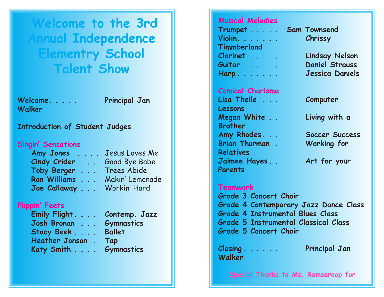**Welcome to the 3rd Annual Independence Elementry School Talent Show**

**Welcome. . . . . Principal Jan Walker**

## **Introduction of Student Judges**

### **Singin' Sensations**

| Amy Jones                                                        | Jesus Loves Me<br>$\mathbf{L}$ , $\mathbf{L}$ , $\mathbf{L}$ |
|------------------------------------------------------------------|--------------------------------------------------------------|
| <b>Cindy Crider</b><br>$\mathbf{L}$ . The set                    | Good Bye Babe                                                |
| <b>Toby Berger</b><br>$\mathbb{R}^2$ . The set of $\mathbb{R}^2$ | Trees Abide                                                  |
| <b>Ron Williams</b><br>$\mathbb{R}^2$                            | Makin' Lemonade                                              |
| Joe Callaway                                                     | Workin' Hard                                                 |

# **Flippin' Feets**

| Emily Flight. Contemp. Jazz |                   |
|-----------------------------|-------------------|
| Josh Bronan                 | <b>Gymnastics</b> |
| Stacy Beek                  | <b>Ballet</b>     |
| Heather Jonson. Tap         |                   |
| Katy Smith Gymnastics       |                   |
|                             |                   |

# **Musical Melodies Trumpet . . . . . Sam Townsend Violin. . . . . . . Chrissy Timmberland Clarinet . . . . . Lindsay Nelson Guitar . . . . . . Daniel Strauss**

**Comical Charisma Lisa Theile . . . Computer Lessons Megan White . . Living with a Brother Amy Rhodes . . . Soccer Success Brian Thurman . Working for Relatives Jaimee Hayes . . Art for your Parents** 

# **Harp . . . . . . . Jessica Daniels**

## **Teamwork**

**Grade 3 Concert Choir Grade 4 Contemporary Jazz Dance Class Grade 4 Instrumental Blues Class Grade 5 Instrumental Classical Class Grade 5 Concert Choir**

**Closing . . . . . . Principal Jan Walker**

**Special Thanks to Ms. Ramsaroop for**